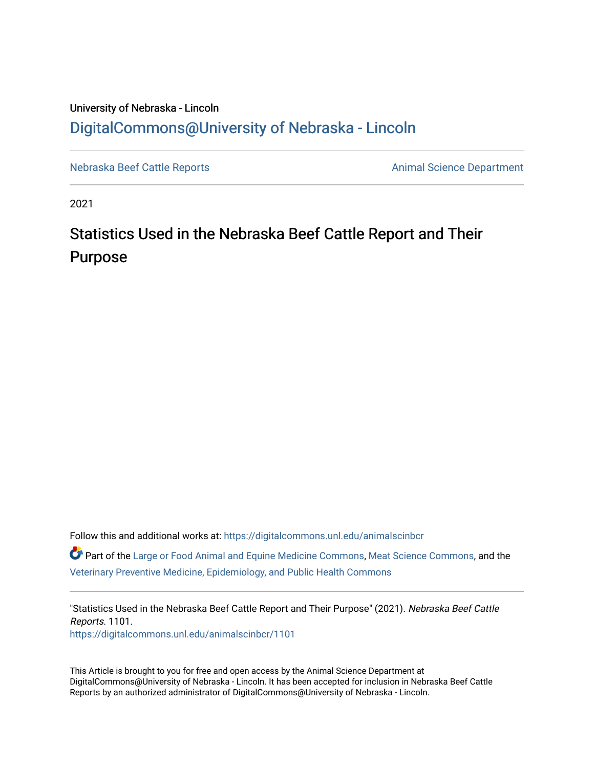## University of Nebraska - Lincoln [DigitalCommons@University of Nebraska - Lincoln](https://digitalcommons.unl.edu/)

[Nebraska Beef Cattle Reports](https://digitalcommons.unl.edu/animalscinbcr) **Animal Science Department** 

2021

## Statistics Used in the Nebraska Beef Cattle Report and Their Purpose

Follow this and additional works at: [https://digitalcommons.unl.edu/animalscinbcr](https://digitalcommons.unl.edu/animalscinbcr?utm_source=digitalcommons.unl.edu%2Fanimalscinbcr%2F1101&utm_medium=PDF&utm_campaign=PDFCoverPages)

Part of the [Large or Food Animal and Equine Medicine Commons,](http://network.bepress.com/hgg/discipline/766?utm_source=digitalcommons.unl.edu%2Fanimalscinbcr%2F1101&utm_medium=PDF&utm_campaign=PDFCoverPages) [Meat Science Commons,](http://network.bepress.com/hgg/discipline/1301?utm_source=digitalcommons.unl.edu%2Fanimalscinbcr%2F1101&utm_medium=PDF&utm_campaign=PDFCoverPages) and the [Veterinary Preventive Medicine, Epidemiology, and Public Health Commons](http://network.bepress.com/hgg/discipline/769?utm_source=digitalcommons.unl.edu%2Fanimalscinbcr%2F1101&utm_medium=PDF&utm_campaign=PDFCoverPages) 

"Statistics Used in the Nebraska Beef Cattle Report and Their Purpose" (2021). Nebraska Beef Cattle Reports. 1101. [https://digitalcommons.unl.edu/animalscinbcr/1101](https://digitalcommons.unl.edu/animalscinbcr/1101?utm_source=digitalcommons.unl.edu%2Fanimalscinbcr%2F1101&utm_medium=PDF&utm_campaign=PDFCoverPages) 

This Article is brought to you for free and open access by the Animal Science Department at DigitalCommons@University of Nebraska - Lincoln. It has been accepted for inclusion in Nebraska Beef Cattle Reports by an authorized administrator of DigitalCommons@University of Nebraska - Lincoln.